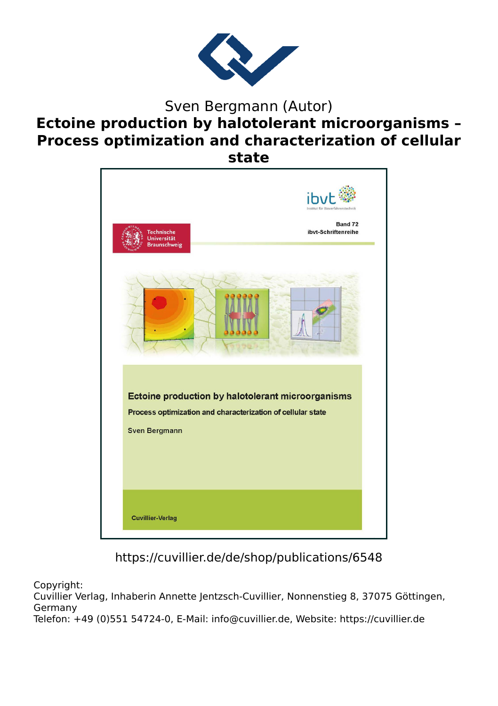

# Sven Bergmann (Autor) **Ectoine production by halotolerant microorganisms – Process optimization and characterization of cellular state**



https://cuvillier.de/de/shop/publications/6548

Copyright:

Cuvillier Verlag, Inhaberin Annette Jentzsch-Cuvillier, Nonnenstieg 8, 37075 Göttingen, Germany Telefon: +49 (0)551 54724-0, E-Mail: info@cuvillier.de, Website: https://cuvillier.de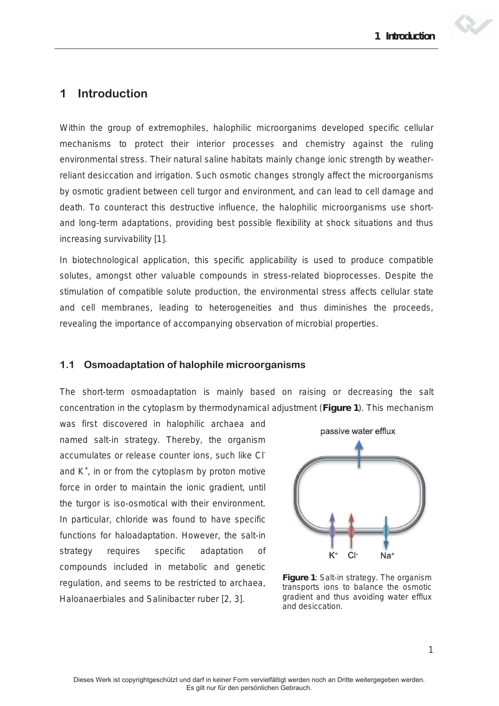

# **1 Introduction**

Within the group of extremophiles, halophilic microorganims developed specific cellular mechanisms to protect their interior processes and chemistry against the ruling environmental stress. Their natural saline habitats mainly change ionic strength by weatherreliant desiccation and irrigation. Such osmotic changes strongly affect the microorganisms by osmotic gradient between cell turgor and environment, and can lead to cell damage and death. To counteract this destructive influence, the halophilic microorganisms use shortand long-term adaptations, providing best possible flexibility at shock situations and thus increasing survivability [1].

In biotechnological application, this specific applicability is used to produce compatible solutes, amongst other valuable compounds in stress-related bioprocesses. Despite the stimulation of compatible solute production, the environmental stress affects cellular state and cell membranes, leading to heterogeneities and thus diminishes the proceeds, revealing the importance of accompanying observation of microbial properties.

# **1.1 Osmoadaptation of halophile microorganisms**

The short-term osmoadaptation is mainly based on raising or decreasing the salt concentration in the cytoplasm by thermodynamical adjustment (**Figure 1**). This mechanism

was first discovered in halophilic archaea and named *salt-in strategy*. Thereby, the organism accumulates or release counter ions, such like Cland  $K^+$ , in or from the cytoplasm by proton motive force in order to maintain the ionic gradient, until the turgor is iso-osmotical with their environment. In particular, chloride was found to have specific functions for haloadaptation. However, the *salt-in strategy* requires specific adaptation of compounds included in metabolic and genetic regulation, and seems to be restricted to archaea, *Haloanaerbiales* and *Salinibacter ruber* [2, 3].



**Figure 1**: *Salt-in strategy*. The organism transports ions to balance the osmotic gradient and thus avoiding water efflux and desiccation.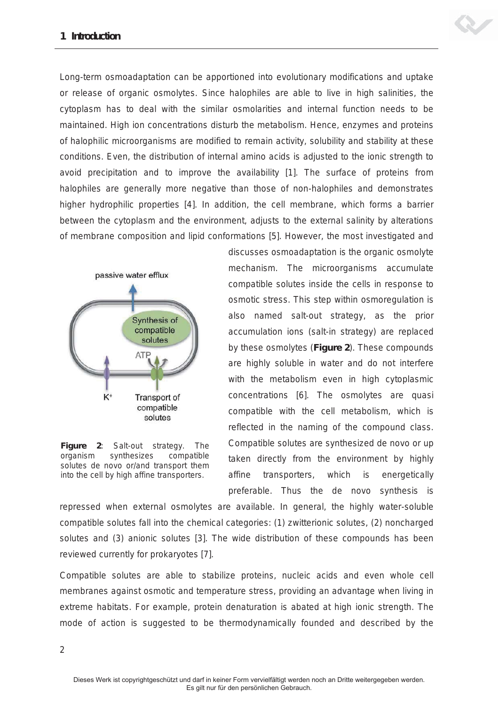

Long-term osmoadaptation can be apportioned into evolutionary modifications and uptake or release of organic osmolytes. Since halophiles are able to live in high salinities, the cytoplasm has to deal with the similar osmolarities and internal function needs to be maintained. High ion concentrations disturb the metabolism. Hence, enzymes and proteins of halophilic microorganisms are modified to remain activity, solubility and stability at these conditions. Even, the distribution of internal amino acids is adjusted to the ionic strength to avoid precipitation and to improve the availability [1]. The surface of proteins from halophiles are generally more negative than those of non-halophiles and demonstrates higher hydrophilic properties [4]. In addition, the cell membrane, which forms a barrier between the cytoplasm and the environment, adjusts to the external salinity by alterations of membrane composition and lipid conformations [5]. However, the most investigated and



**Figure 2**: *Salt-out strategy*. The organism synthesizes compatible solutes *de novo* or/and transport them into the cell by high affine transporters.

discusses osmoadaptation is the organic osmolyte mechanism. The microorganisms accumulate compatible solutes inside the cells in response to osmotic stress. This step within osmoregulation is also named *salt-out strategy*, as the prior accumulation ions (*salt-in strategy*) are replaced by these osmolytes (**Figure 2**). These compounds are highly soluble in water and do not interfere with the metabolism even in high cytoplasmic concentrations [6]. The osmolytes are quasi *compatible* with the cell metabolism, which is reflected in the naming of the compound class. Compatible solutes are synthesized *de novo* or up taken directly from the environment by highly affine transporters, which is energetically preferable. Thus the *de novo* synthesis is

repressed when external osmolytes are available. In general, the highly water-soluble compatible solutes fall into the chemical categories: (1) zwitterionic solutes, (2) noncharged solutes and (3) anionic solutes [3]. The wide distribution of these compounds has been reviewed currently for prokaryotes [7].

Compatible solutes are able to stabilize proteins, nucleic acids and even whole cell membranes against osmotic and temperature stress, providing an advantage when living in extreme habitats. For example, protein denaturation is abated at high ionic strength. The mode of action is suggested to be thermodynamically founded and described by the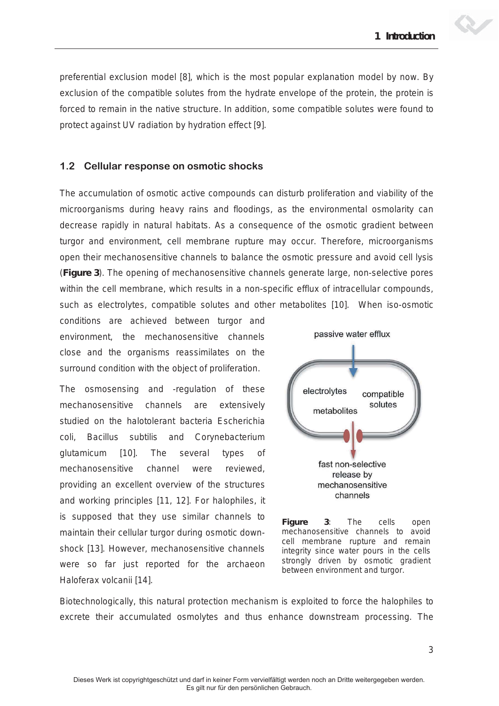*preferential exclusion model* [8], which is the most popular explanation model by now. By exclusion of the compatible solutes from the hydrate envelope of the protein, the protein is forced to remain in the native structure. In addition, some compatible solutes were found to protect against UV radiation by hydration effect [9].

#### **1.2 Cellular response on osmotic shocks**

The accumulation of osmotic active compounds can disturb proliferation and viability of the microorganisms during heavy rains and floodings, as the environmental osmolarity can decrease rapidly in natural habitats. As a consequence of the osmotic gradient between turgor and environment, cell membrane rupture may occur. Therefore, microorganisms open their mechanosensitive channels to balance the osmotic pressure and avoid cell lysis (**Figure 3**). The opening of mechanosensitive channels generate large, non-selective pores within the cell membrane, which results in a non-specific efflux of intracellular compounds, such as electrolytes, compatible solutes and other metabolites [10]. When iso-osmotic

conditions are achieved between turgor and environment, the mechanosensitive channels close and the organisms reassimilates on the surround condition with the object of proliferation.

The osmosensing and -regulation of these mechanosensitive channels are extensively studied on the halotolerant bacteria *Escherichia coli*, *Bacillus subtilis* and *Corynebacterium glutamicum* [10]. The several types of mechanosensitive channel were reviewed, providing an excellent overview of the structures and working principles [11, 12]. For halophiles, it is supposed that they use similar channels to maintain their cellular turgor during osmotic downshock [13]. However, mechanosensitive channels were so far just reported for the archaeon *Haloferax volcanii* [14].



**Figure 3**: The cells open mechanosensitive channels to avoid cell membrane rupture and remain integrity since water pours in the cells strongly driven by osmotic gradient between environment and turgor.

Biotechnologically, this natural protection mechanism is exploited to force the halophiles to excrete their accumulated osmolytes and thus enhance downstream processing. The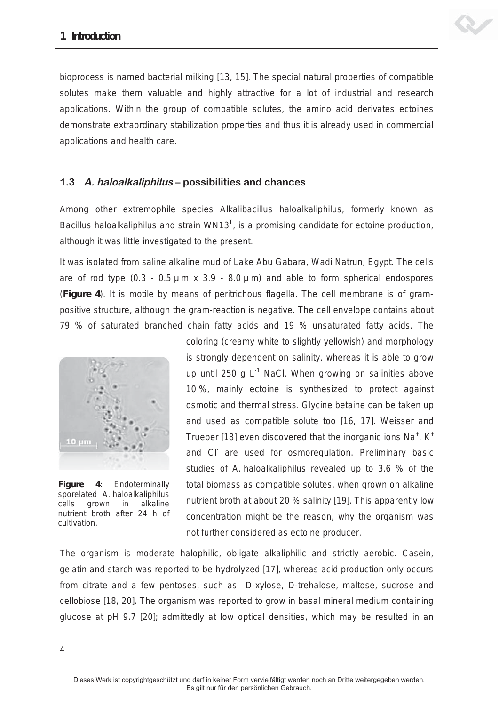

bioprocess is named *bacterial milking* [13, 15]. The special natural properties of compatible solutes make them valuable and highly attractive for a lot of industrial and research applications. Within the group of compatible solutes, the amino acid derivates ectoines demonstrate extraordinary stabilization properties and thus it is already used in commercial applications and health care.

### **1.3 A. haloalkaliphilus – possibilities and chances**

Among other extremophile species *Alkalibacillus haloalkaliphilus*, formerly known as Bacillus haloalkaliphilus and strain WN13<sup>T</sup>, is a promising candidate for ectoine production, although it was little investigated to the present.

It was isolated from saline alkaline mud of Lake Abu Gabara, Wadi Natrun, Egypt. The cells are of rod type  $(0.3 - 0.5 \mu \text{m} \times 3.9 - 8.0 \mu \text{m})$  and able to form spherical endospores (**Figure 4**). It is motile by means of peritrichous flagella. The cell membrane is of grampositive structure, although the gram-reaction is negative. The cell envelope contains about 79 % of saturated branched chain fatty acids and 19 % unsaturated fatty acids. The



**Figure 4**: Endoterminally sporelated *A. haloalkaliphilus* cells grown in alkaline nutrient broth after 24 h of cultivation.

coloring (creamy white to slightly yellowish) and morphology is strongly dependent on salinity, whereas it is able to grow up until 250 g  $L^{-1}$  NaCl. When growing on salinities above 10 %, mainly ectoine is synthesized to protect against osmotic and thermal stress. Glycine betaine can be taken up and used as compatible solute too [16, 17]. Weisser and Trueper [18] even discovered that the inorganic ions  $Na<sup>+</sup>$ , K<sup>+</sup> and CI<sup>-</sup> are used for osmoregulation. Preliminary basic studies of *A. haloalkaliphilus* revealed up to 3.6 % of the total biomass as compatible solutes, when grown on alkaline nutrient broth at about 20 % salinity [19]. This apparently low concentration might be the reason, why the organism was not further considered as ectoine producer.

The organism is moderate halophilic, obligate alkaliphilic and strictly aerobic. Casein, gelatin and starch was reported to be hydrolyzed [17], whereas acid production only occurs from citrate and a few pentoses, such as D-xylose, D-trehalose, maltose, sucrose and cellobiose [18, 20]. The organism was reported to grow in basal mineral medium containing glucose at pH 9.7 [20]; admittedly at low optical densities, which may be resulted in an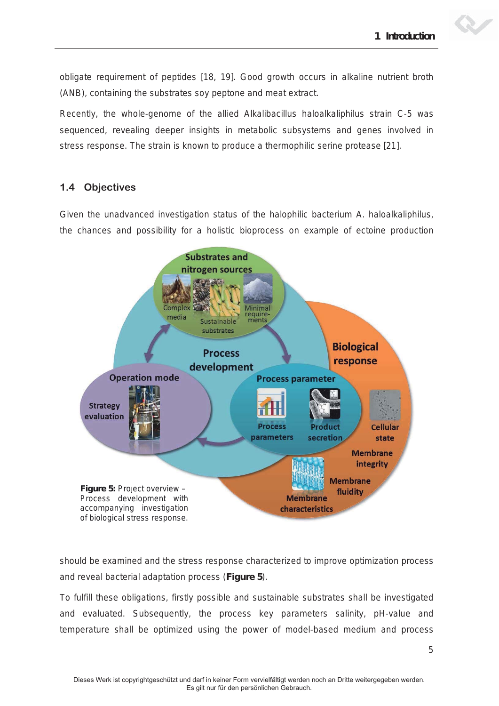obligate requirement of peptides [18, 19]. Good growth occurs in alkaline nutrient broth (ANB), containing the substrates soy peptone and meat extract.

Recently, the whole-genome of the allied *Alkalibacillus haloalkaliphilus* strain C-5 was sequenced, revealing deeper insights in metabolic subsystems and genes involved in stress response. The strain is known to produce a thermophilic serine protease [21].

# **1.4 Objectives**

Given the unadvanced investigation status of the halophilic bacterium *A. haloalkaliphilus*, the chances and possibility for a holistic bioprocess on example of ectoine production



should be examined and the stress response characterized to improve optimization process and reveal bacterial adaptation process (**Figure 5**).

To fulfill these obligations, firstly possible and sustainable substrates shall be investigated and evaluated. Subsequently, the process key parameters salinity, pH-value and temperature shall be optimized using the power of model-based medium and process